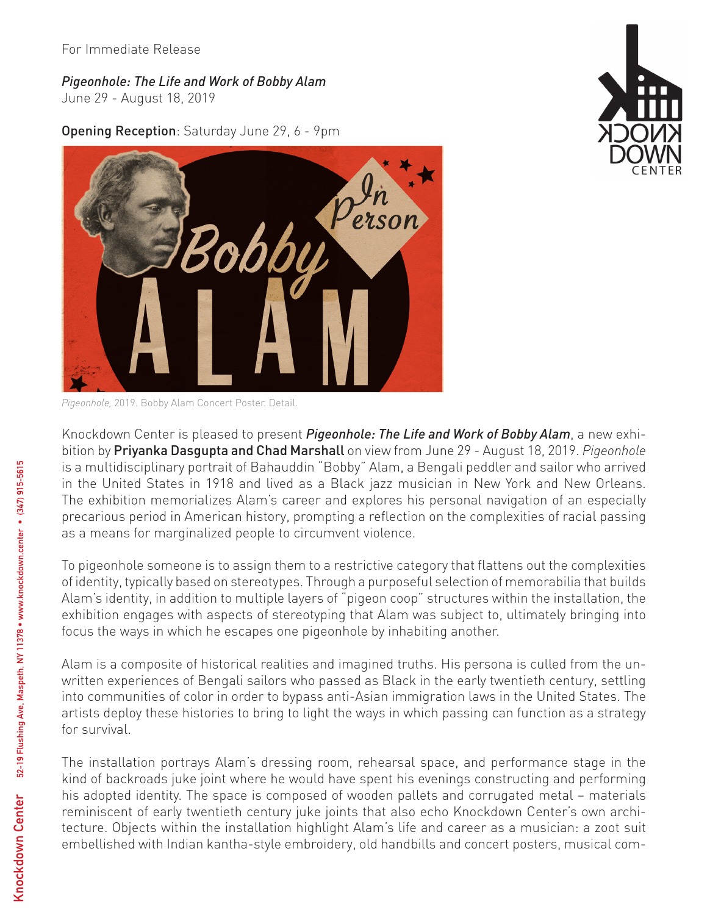For Immediate Release

## *Pigeonhole: The Life and Work of Bobby Alam*

June 29 - August 18, 2019

Opening Reception: Saturday June 29, 6 - 9pm



*Pigeonhole,* 2019. Bobby Alam Concert Poster. Detail.

Knockdown Center is pleased to present *Pigeonhole: The Life and Work of Bobby Alam*, a new exhibition by Priyanka Dasgupta and Chad Marshall on view from June 29 - August 18, 2019. *Pigeonhole* is a multidisciplinary portrait of Bahauddin "Bobby" Alam, a Bengali peddler and sailor who arrived in the United States in 1918 and lived as a Black jazz musician in New York and New Orleans. The exhibition memorializes Alam's career and explores his personal navigation of an especially precarious period in American history, prompting a reflection on the complexities of racial passing as a means for marginalized people to circumvent violence.

To pigeonhole someone is to assign them to a restrictive category that flattens out the complexities of identity, typically based on stereotypes. Through a purposeful selection of memorabilia that builds Alam's identity, in addition to multiple layers of "pigeon coop" structures within the installation, the exhibition engages with aspects of stereotyping that Alam was subject to, ultimately bringing into focus the ways in which he escapes one pigeonhole by inhabiting another.

Alam is a composite of historical realities and imagined truths. His persona is culled from the unwritten experiences of Bengali sailors who passed as Black in the early twentieth century, settling into communities of color in order to bypass anti-Asian immigration laws in the United States. The artists deploy these histories to bring to light the ways in which passing can function as a strategy for survival.

The installation portrays Alam's dressing room, rehearsal space, and performance stage in the kind of backroads juke joint where he would have spent his evenings constructing and performing his adopted identity. The space is composed of wooden pallets and corrugated metal – materials reminiscent of early twentieth century juke joints that also echo Knockdown Center's own architecture. Objects within the installation highlight Alam's life and career as a musician: a zoot suit embellished with Indian kantha-style embroidery, old handbills and concert posters, musical com-